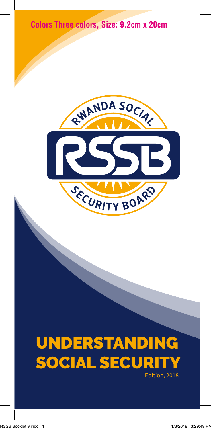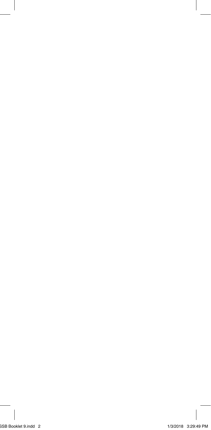J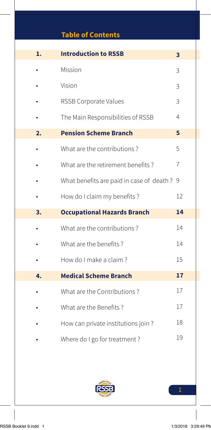# **Table of Contents**

| 1. | <b>Introduction to RSSB</b>              | 3              |
|----|------------------------------------------|----------------|
|    | Mission                                  | 3              |
|    | Vision                                   | 3              |
|    | RSSB Corporate Values                    | 3              |
|    | The Main Responsibilities of RSSB        | 4              |
| 2. | <b>Pension Scheme Branch</b>             | 5              |
|    | What are the contributions?              | 5              |
|    | What are the retirement benefits?        | $\overline{1}$ |
|    | What benefits are paid in case of death? | 9              |
|    | How do I claim my benefits?              | 12             |
| 3. | <b>Occupational Hazards Branch</b>       | 14             |
|    | What are the contributions?              | 14             |
|    | What are the benefits?                   | 14             |
|    | How do I make a claim?                   | 15             |
| 4. | <b>Medical Scheme Branch</b>             | 17             |
|    | What are the Contributions?              | 17             |
|    | What are the Benefits?                   | 17             |
|    | How can private institutions join?       | 18             |
|    | Where do I go for treatment?             | 19             |

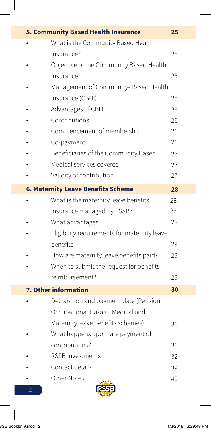|   | 5. Community Based Health Insurance          | 25 |
|---|----------------------------------------------|----|
|   | What is the Community Based Health           |    |
|   | Insurance?                                   | 25 |
|   | Objective of the Community Based Health      |    |
|   | Insurance                                    | 25 |
|   | Management of Community- Based Health        |    |
|   | Insurance (CBHI)                             | 25 |
|   | Advantages of CBHI                           | 25 |
|   | Contributions                                | 26 |
|   | Commencement of membership                   | 26 |
|   | Co-payment                                   | 26 |
|   | Beneficiaries of the Community Based         | 27 |
|   | Medical services covered                     | 27 |
|   | Validity of contribution                     | 27 |
|   | <b>6. Maternity Leave Benefits Scheme</b>    | 28 |
|   | What is the maternity leave benefits         | 28 |
|   | insurance managed by RSSB?                   | 28 |
|   | What advantages                              | 28 |
|   | Eligibility requirements for maternity leave |    |
|   | benefits                                     | 29 |
|   | How are maternity leave benefits paid?       | 29 |
|   | When to submit the request for benefits      |    |
|   | reimbursement?                               | 29 |
|   | 7. Other information                         | 30 |
|   | Declaration and payment date (Pension,       |    |
|   | Occupational Hazard, Medical and             |    |
|   | Maternity leave benefits schemes)            | 30 |
|   | What happens upon late payment of            |    |
|   | contributions?                               | 31 |
|   | RSSB investments                             | 32 |
|   | Contact details                              | 39 |
|   | Other Notes                                  | 40 |
| 2 |                                              |    |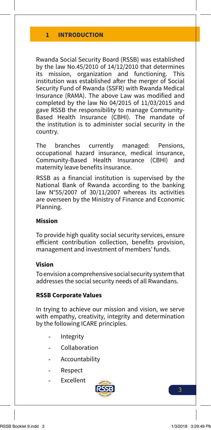### **1 INTRODUCTION**

Rwanda Social Security Board (RSSB) was established by the law No.45/2010 of 14/12/2010 that determines<br>its mission organization and functioning This mission, organization and functioning. This institution was established after the merger of Social Security Fund of Rwanda (SSFR) with Rwanda Medical Insurance (RAMA). The above Law was modified and completed by the law No 04/2015 of 11/03/2015 and gave RSSB the responsibility to manage Community-Based Health Insurance (CBHI). The mandate of the institution is to administer social security in the country.

The branches currently managed: Pensions, occupational hazard insurance, medical insurance, Community-Based Health Insurance (CBHI) and maternity leave benefits insurance.

RSSB as a financial institution is supervised by the National Bank of Rwanda according to the banking law N°55/2007 of 30/11/2007 whereas its activities are overseen by the Ministry of Finance and Economic Planning.

### **Mission**

To provide high quality social security services, ensure efficient contribution collection, benefits provision, management and investment of members' funds.

### **Vision**

To envision a comprehensive social security system that addresses the social security needs of all Rwandans.

### **RSSB Corporate Values**

In trying to achieve our mission and vision, we serve with empathy, creativity, integrity and determination by the following ICARE principles.

- Integrity
- **Collaboration**
- Accountability
- Respect
- **Excellent**

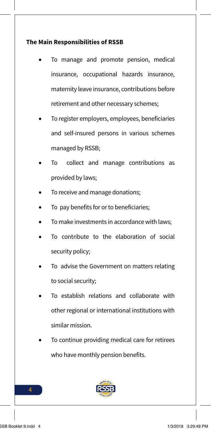# **The Main Responsibilities of RSSB**

- To manage and promote pension, medical insurance, occupational hazards insurance, maternity leave insurance, contributions before retirement and other necessary schemes;
- To register employers, employees, beneficiaries and self-insured persons in various schemes managed by RSSB;
- To collect and manage contributions as provided by laws;
- To receive and manage donations;
- To pay benefits for or to beneficiaries;
- To make investments in accordance with laws:
- To contribute to the elaboration of social security policy;
- To advise the Government on matters relating to social security;
- To establish relations and collaborate with other regional or international institutions with similar mission.
- To continue providing medical care for retirees who have monthly pension benefits.



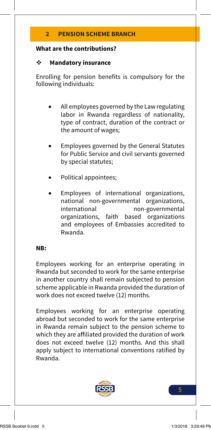# **2 PENSION SCHEME BRANCH**

### **What are the contributions?**

### **Mandatory insurance**

Enrolling for pension benefits is compulsory for the following individuals:

- All employees governed by the Law regulating labor in Rwanda regardless of nationality, type of contract, duration of the contract or the amount of wages;
- Employees governed by the General Statutes for Public Service and civil servants governed by special statutes;
- Political appointees:
- Employees of international organizations, national non-governmental organizations, international non-governmental organizations, faith based organizations and employees of Embassies accredited to Rwanda.

### **NB:**

Employees working for an enterprise operating in Rwanda but seconded to work for the same enterprise in another country shall remain subjected to pension scheme applicable in Rwanda provided the duration of work does not exceed twelve (12) months.

Employees working for an enterprise operating abroad but seconded to work for the same enterprise in Rwanda remain subject to the pension scheme to which they are affiliated provided the duration of work does not exceed twelve (12) months. And this shall apply subject to international conventions ratified by Rwanda.



RSSB Booklet 9.indd 5 1/3/2018 3:29:49 PM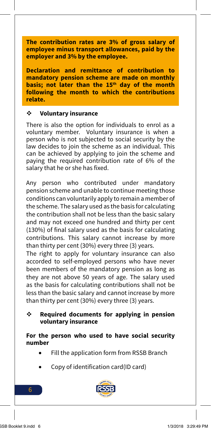**The contribution rates are 3% of gross salary of employee minus transport allowances, paid by the employer and 3% by the employee.** 

**Declaration and remittance of contribution to mandatory pension scheme are made on monthly**  basis; not later than the 15<sup>th</sup> day of the month **following the month to which the contributions relate.**

# **Voluntary insurance**

There is also the option for individuals to enrol as a voluntary member. Voluntary insurance is when a person who is not subjected to social security by the law decides to join the scheme as an individual. This can be achieved by applying to join the scheme and paying the required contribution rate of 6% of the salary that he or she has fixed.

Any person who contributed under mandatory pension scheme and unable to continue meeting those conditions can voluntarily apply to remain a member of the scheme. The salary used as the basis for calculating the contribution shall not be less than the basic salary and may not exceed one hundred and thirty per cent (130%) of final salary used as the basis for calculating contributions. This salary cannot increase by more than thirty per cent (30%) every three (3) years.

The right to apply for voluntary insurance can also accorded to self-employed persons who have never been members of the mandatory pension as long as they are not above 50 years of age. The salary used as the basis for calculating contributions shall not be less than the basic salary and cannot increase by more than thirty per cent (30%) every three (3) years.

### **Required documents for applying in pension voluntary insurance**

### **For the person who used to have social security number**

- Fill the application form from RSSB Branch
- Copy of identification card(ID card)

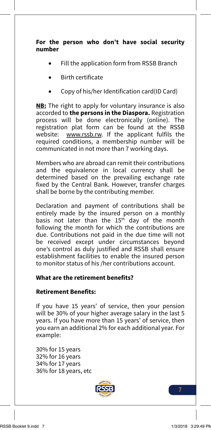### **For the person who don't have social security number**

- Fill the application form from RSSB Branch
- **Birth certificate**
- Copy of his/her Identification card(ID Card)

**NB:** The right to apply for voluntary insurance is also accorded to **the persons in the Diaspora.** Registration process will be done electronically (online). The registration plat form can be found at the RSSB<br>website: www.rssb.rw. If the applicant fulfils the www.rssb.rw. If the applicant fulfils the required conditions, a membership number will be communicated in not more than 7 working days.

Members who are abroad can remit their contributions and the equivalence in local currency shall be determined based on the prevailing exchange rate fixed by the Central Bank. However, transfer charges shall be borne by the contributing member.

Declaration and payment of contributions shall be entirely made by the insured person on a monthly basis not later than the  $15<sup>th</sup>$  day of the month following the month for which the contributions are due. Contributions not paid in the due time will not be received except under circumstances beyond one's control as duly justified and RSSB shall ensure establishment facilities to enable the insured person to monitor status of his /her contributions account.

### **What are the retirement benefits?**

### **Retirement Benefits:**

If you have 15 years' of service, then your pension will be 30% of your higher average salary in the last 5 years. If you have more than 15 years' of service, then you earn an additional 2% for each additional year. For example:

30% for 15 years 32% for 16 years 34% for 17 years 36% for 18 years, etc



RSSB Booklet 9.indd 7 1/3/2018 3:29:49 PM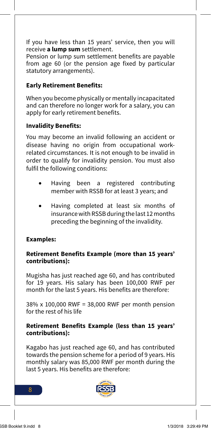If you have less than 15 years' service, then you will receive **a lump sum** settlement.

Pension or lump sum settlement benefits are payable from age 60 (or the pension age fixed by particular statutory arrangements).

# **Early Retirement Benefits:**

When you become physically or mentally incapacitated and can therefore no longer work for a salary, you can apply for early retirement benefits.

# **Invalidity Benefits:**

You may become an invalid following an accident or disease having no origin from occupational workrelated circumstances. It is not enough to be invalid in order to qualify for invalidity pension. You must also fulfil the following conditions:

- Having been a registered contributing member with RSSB for at least 3 years; and
- Having completed at least six months of insurance with RSSB during the last 12 months preceding the beginning of the invalidity.

# **Examples:**

# **Retirement Benefits Example (more than 15 years' contributions):**

Mugisha has just reached age 60, and has contributed for 19 years. His salary has been 100,000 RWF per month for the last 5 years. His benefits are therefore:

38% x 100,000 RWF = 38,000 RWF per month pension for the rest of his life

# **Retirement Benefits Example (less than 15 years' contributions):**

Kagabo has just reached age 60, and has contributed towards the pension scheme for a period of 9 years. His monthly salary was 85,000 RWF per month during the last 5 years. His benefits are therefore:

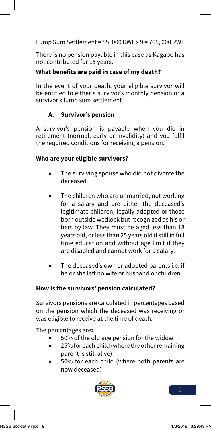Lump Sum Settlement = 85, 000 RWF x 9 = 765, 000 RWF

There is no pension payable in this case as Kagabo has not contributed for 15 years.

# **What benefits are paid in case of my death?**

In the event of your death, your eligible survivor will be entitled to either a survivor's monthly pension or a survivor's lump sum settlement.

# **A. Survivor's pension**

A survivor's pension is payable when you die in retirement (normal, early or invalidity) and you fulfil the required conditions for receiving a pension.

# **Who are your eligible survivors?**

- The surviving spouse who did not divorce the deceased
- The children who are unmarried, not working for a salary and are either the deceased's legitimate children, legally adopted or those born outside wedlock but recognized as his or hers by law. They must be aged less than 18 years old, or less than 25 years old if still in full time education and without age limit if they are disabled and cannot work for a salary.
- The deceased's own or adopted parents i.e. if he or she left no wife or husband or children.

# **How is the survivors' pension calculated?**

Survivors pensions are calculated in percentages based on the pension which the deceased was receiving or was eligible to receive at the time of death.

The percentages are**:**

- 50% of the old age pension for the widow
- 25% for each child (where the other remaining parent is still alive)
- 50% for each child (where both parents are now deceased)

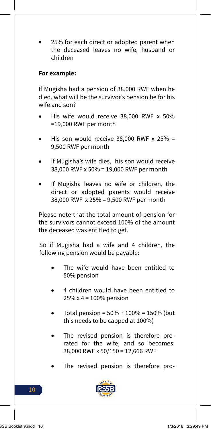25% for each direct or adopted parent when the deceased leaves no wife, husband or children

### **For example:**

If Mugisha had a pension of 38,000 RWF when he died, what will be the survivor's pension be for his wife and son?

- His wife would receive  $38,000$  RWF x  $50\%$ =19,000 RWF per month
- His son would receive 38,000 RWF x 25% = 9,500 RWF per month
- If Mugisha's wife dies, his son would receive 38,000 RWF x 50% = 19,000 RWF per month
- If Mugisha leaves no wife or children, the direct or adopted parents would receive 38,000 RWF x 25% = 9,500 RWF per month

Please note that the total amount of pension for the survivors cannot exceed 100% of the amount the deceased was entitled to get.

So if Mugisha had a wife and 4 children, the following pension would be payable:

- The wife would have been entitled to 50% pension
- 4 children would have been entitled to 25% x 4 = 100% pension
- Total pension =  $50\% + 100\% = 150\%$  (but this needs to be capped at 100%)
- The revised pension is therefore prorated for the wife, and so becomes: 38,000 RWF x 50/150 = 12,666 RWF
- The revised pension is therefore pro-

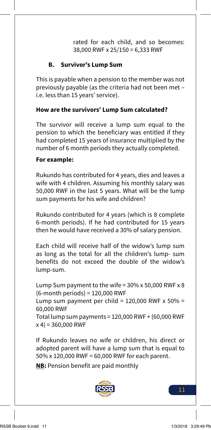rated for each child, and so becomes: 38,000 RWF x 25/150 = 6,333 RWF

# **B. Survivor's Lump Sum**

This is payable when a pension to the member was not previously payable (as the criteria had not been met – i.e. less than 15 years' service).

# **How are the survivors' Lump Sum calculated?**

The survivor will receive a lump sum equal to the pension to which the beneficiary was entitled if they had completed 15 years of insurance multiplied by the number of 6 month periods they actually completed.

### **For example:**

Rukundo has contributed for 4 years, dies and leaves a wife with 4 children. Assuming his monthly salary was 50,000 RWF in the last 5 years. What will be the lump sum payments for his wife and children?

Rukundo contributed for 4 years (which is 8 complete 6-month periods). If he had contributed for 15 years then he would have received a 30% of salary pension.

Each child will receive half of the widow's lump sum as long as the total for all the children's lump- sum benefits do not exceed the double of the widow's lump-sum.

Lump Sum payment to the wife =  $30\%$  x 50,000 RWF x 8 (6-month periods) = 120,000 RWF

Lump sum payment per child =  $120,000$  RWF x  $50\%$  = 60,000 RWF

Total lump sum payments = 120,000 RWF + (60,000 RWF  $x$  4) = 360,000 RWF

If Rukundo leaves no wife or children, his direct or adopted parent will have a lump sum that is equal to 50% x 120,000 RWF = 60,000 RWF for each parent.

**NB:** Pension benefit are paid monthly

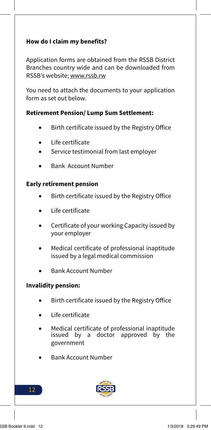# **How do I claim my benefits?**

Application forms are obtained from the RSSB District Branches country wide and can be downloaded from RSSB's website; www.rssb.rw

You need to attach the documents to your application form as set out below.

# **Retirement Pension/ Lump Sum Settlement:**

- Birth certificate issued by the Registry Office
- Life certificate
- • Service testimonial from last employer
- **Bank Account Number**

### **Early retirement pension**

- Birth certificate issued by the Registry Office
- • Life certificate
- Certificate of your working Capacity issued by your employer
- Medical certificate of professional inaptitude issued by a legal medical commission
- **Bank Account Number**

### **Invalidity pension:**

- Birth certificate issued by the Registry Office
- Life certificate
- Medical certificate of professional inaptitude issued by a doctor approved by the government
- **Bank Account Number**

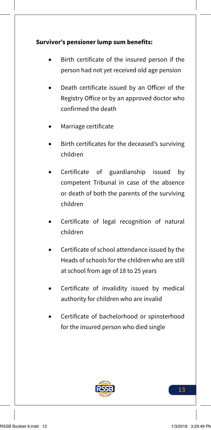# **Survivor's pensioner lump sum benefits:**

- Birth certificate of the insured person if the person had not yet received old age pension
- Death certificate issued by an Officer of the Registry Office or by an approved doctor who confirmed the death
- Marriage certificate
- Birth certificates for the deceased's surviving children
- Certificate of guardianship issued by competent Tribunal in case of the absence or death of both the parents of the surviving children
- Certificate of legal recognition of natural children
- Certificate of school attendance issued by the Heads of schools for the children who are still at school from age of 18 to 25 years
- Certificate of invalidity issued by medical authority for children who are invalid
- Certificate of bachelorhood or spinsterhood for the insured person who died single

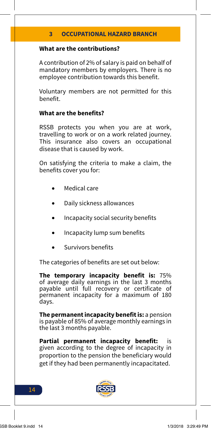# **3 OCCUPATIONAL HAZARD BRANCH**

### **What are the contributions?**

A contribution of 2% of salary is paid on behalf of mandatory members by employers. There is no employee contribution towards this benefit.

Voluntary members are not permitted for this benefit.

### **What are the benefits?**

RSSB protects you when you are at work, travelling to work or on a work related journey. This insurance also covers an occupational disease that is caused by work.

On satisfying the criteria to make a claim, the benefits cover you for:

- **Medical care**
- Daily sickness allowances
- Incapacity social security benefits
- Incapacity lump sum benefits
- Survivors benefits

The categories of benefits are set out below:

**The temporary incapacity benefit is:** 75% of average daily earnings in the last 3 months payable until full recovery or certificate of permanent incapacity for a maximum of 180 days.

**The permanent incapacity benefit is:** a pension is payable of 85% of average monthly earnings in the last 3 months payable.

**Partial permanent incapacity benefit:** is given according to the degree of incapacity in proportion to the pension the beneficiary would get if they had been permanently incapacitated.



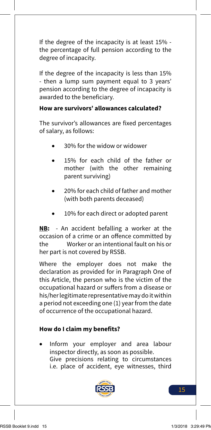If the degree of the incapacity is at least 15% the percentage of full pension according to the degree of incapacity.

If the degree of the incapacity is less than 15% - then a lump sum payment equal to 3 years' pension according to the degree of incapacity is awarded to the beneficiary.

# **How are survivors' allowances calculated?**

The survivor's allowances are fixed percentages of salary, as follows:

- 30% for the widow or widower
- 15% for each child of the father or mother (with the other remaining parent surviving)
- 20% for each child of father and mother (with both parents deceased)
- 10% for each direct or adopted parent

**NB:** - An accident befalling a worker at the occasion of a crime or an offence committed by the Worker or an intentional fault on his or her part is not covered by RSSB.

Where the employer does not make the declaration as provided for in Paragraph One of this Article, the person who is the victim of the occupational hazard or suffers from a disease or his/her legitimate representative may do it within a period not exceeding one (1) year from the date of occurrence of the occupational hazard.

# **How do I claim my benefits?**

Inform your employer and area labour inspector directly, as soon as possible. Give precisions relating to circumstances i.e. place of accident, eye witnesses, third

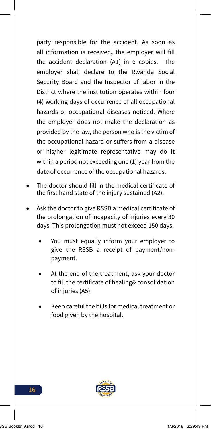party responsible for the accident. As soon as all information is received**,** the employer will fill the accident declaration (A1) in 6 copies. The employer shall declare to the Rwanda Social Security Board and the Inspector of labor in the District where the institution operates within four (4) working days of occurrence of all occupational hazards or occupational diseases noticed. Where the employer does not make the declaration as provided by the law, the person who is the victim of the occupational hazard or suffers from a disease or his/her legitimate representative may do it within a period not exceeding one (1) year from the date of occurrence of the occupational hazards.

- The doctor should fill in the medical certificate of the first hand state of the injury sustained (A2).
- Ask the doctor to give RSSB a medical certificate of the prolongation of incapacity of injuries every 30 days. This prolongation must not exceed 150 days.
	- You must equally inform your employer to give the RSSB a receipt of payment/nonpayment.
	- At the end of the treatment, ask your doctor to fill the certificate of healing& consolidation of injuries (A5).
	- Keep careful the bills for medical treatment or food given by the hospital.



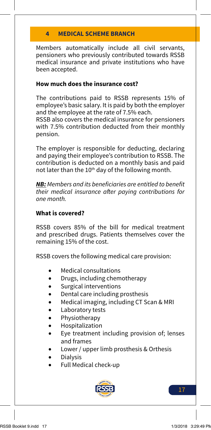# **4 MEDICAL SCHEME BRANCH**

Members automatically include all civil servants, pensioners who previously contributed towards RSSB medical insurance and private institutions who have been accepted.

### **How much does the insurance cost?**

The contributions paid to RSSB represents 15% of employee's basic salary. It is paid by both the employer and the employee at the rate of 7.5% each.

RSSB also covers the medical insurance for pensioners with 7.5% contribution deducted from their monthly pension.

The employer is responsible for deducting, declaring and paying their employee's contribution to RSSB. The contribution is deducted on a monthly basis and paid not later than the 10<sup>th</sup> day of the following month.

*NB: Members and its beneficiaries are entitled to benefit their medical insurance after paying contributions for one month.*

### **What is covered?**

RSSB covers 85% of the bill for medical treatment and prescribed drugs. Patients themselves cover the remaining 15% of the cost.

RSSB covers the following medical care provision:

- **Medical consultations**
- Drugs, including chemotherapy
- Surgical interventions
- Dental care including prosthesis
- Medical imaging, including CT Scan & MRI
- Laboratory tests
- **Physiotherapy**
- **Hospitalization**
- Eye treatment including provision of; lenses and frames
- Lower / upper limb prosthesis & Orthesis
- **Dialysis**
- Full Medical check-up

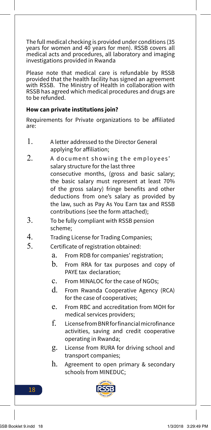The full medical checking is provided under conditions (35 years for women and 40 years for men). RSSB covers all medical acts and procedures, all laboratory and imaging investigations provided in Rwanda

Please note that medical care is refundable by RSSB provided that the health facility has signed an agreement with RSSB. The Ministry of Health in collaboration with RSSB has agreed which medical procedures and drugs are to be refunded.

### **How can private institutions join?**

Requirements for Private organizations to be affiliated are:

- 1. A letter addressed to the Director General applying for affiliation;
- 2. A document showing the employees' salary structure for the last three consecutive months, (gross and basic salary; the basic salary must represent at least 70% of the gross salary) fringe benefits and other deductions from one's salary as provided by the law, such as Pay As You Earn tax and RSSB contributions (see the form attached);
- 3. To be fully compliant with RSSB pension scheme;
- 4. Trading License for Trading Companies;
- 5. Certificate of registration obtained:
	- a. From RDB for companies' registration;
	- b. From RRA for tax purposes and copy of PAYE tax declaration;
	- c. From MINALOC for the case of NGOs;
	- d. From Rwanda Cooperative Agency (RCA) for the case of cooperatives;
	- e. From RBC and accreditation from MOH for medical services providers;
	- f. License from BNR for financial microfinance activities, saving and credit cooperative operating in Rwanda;
	- g. License from RURA for driving school and transport companies;
	- h. Agreement to open primary & secondary schools from MINEDUC;

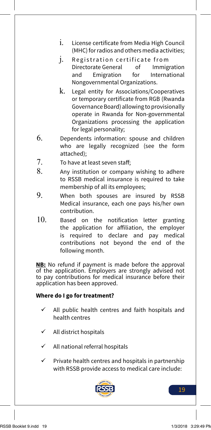- i. License certificate from Media High Council (MHC) for radios and others media activities;
- j. Registration certificate from Directorate General of Immigration and Emigration for International Nongovernmental Organizations.
- k. Legal entity for Associations/Cooperatives or temporary certificate from RGB (Rwanda Governance Board) allowing to provisionally operate in Rwanda for Non-governmental Organizations processing the application for legal personality;
- 6. Dependents information: spouse and children who are legally recognized (see the form attached);
- 7. To have at least seven staff;
- 8. Any institution or company wishing to adhere to RSSB medical insurance is required to take membership of all its employees;
- 9. When both spouses are insured by RSSB Medical insurance, each one pays his/her own contribution.
- 10. Based on the notification letter granting the application for affiliation, the employer is required to declare and pay medical contributions not beyond the end of the following month.

**NB:** No refund if payment is made before the approval of the application. Employers are strongly advised not to pay contributions for medical insurance before their application has been approved.

# **Where do I go for treatment?**

- All public health centres and faith hospitals and health centres
- All district hospitals
- $\sqrt{ }$  All national referral hospitals
- Private health centres and hospitals in partnership with RSSB provide access to medical care include:

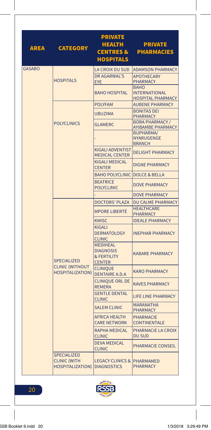| AREA          | <b>CATEGORY</b>                                                      | <b>PRIVATE</b><br><b>HEALTH</b><br><b>CENTRES &amp;</b><br><b>HOSPITALS</b>    | <b>PRIVATE</b><br><b>PHARMACIES</b>                             |
|---------------|----------------------------------------------------------------------|--------------------------------------------------------------------------------|-----------------------------------------------------------------|
| <b>GASABO</b> |                                                                      | LA CROIX DU SUD                                                                | <b>ADAMSON PHARMACY</b>                                         |
|               | <b>HOSPITALS</b>                                                     | <b>DR AGARWAL'S</b><br><b>EYE</b>                                              | <b>APOTHECARY</b><br>PHARMACY                                   |
|               |                                                                      | <b>BAHO HOSPITAL</b>                                                           | <b>BAHO</b><br><b>INTERNATIONAL</b><br><b>HOSPITAL PHARMACY</b> |
|               |                                                                      | <b>POLYFAM</b>                                                                 | <b>AUBENE PHARMACY</b>                                          |
|               |                                                                      | <b>UBUZIMA</b>                                                                 | <b>BONITAS DEI</b><br><b>PHARMACY</b>                           |
|               | <b>POLYCLINICS</b>                                                   | <b>GLAMERC</b>                                                                 | <b>BORA PHARMACY /</b><br>AYIBAMBE PHARMACY                     |
|               |                                                                      |                                                                                | <b>BUPHARMA/</b><br><b>NYARUGENGE</b><br><b>BRANCH</b>          |
|               |                                                                      | KIGALI ADVENTIST<br><b>MEDICAL CENTER</b>                                      | <b>DELIGHT PHARMACY</b>                                         |
|               |                                                                      | KIGALI MEDICAL<br><b>CENTER</b>                                                | <b>DIGNE PHARMACY</b>                                           |
|               |                                                                      | <b>BAHO POLYCLINIC</b>                                                         | <b>DOLCE &amp; BELLA</b>                                        |
|               |                                                                      | <b>BEATRICE</b><br><b>POLYCLINIC</b>                                           | <b>DOVE PHARMACY</b>                                            |
|               |                                                                      |                                                                                | <b>DOVE PHARMACY</b>                                            |
|               |                                                                      | DOCTORS' PLAZA                                                                 | DU CALME PHARMACY                                               |
|               |                                                                      | MPORE LIBERTÉ                                                                  | <b>HEALTHCARE</b><br><b>PHARMACY</b>                            |
|               |                                                                      | <b>KMISC</b>                                                                   | <b>IDEALE PHARMACY</b>                                          |
|               |                                                                      | KIGALI<br><b>DERMATOLOGY</b><br><b>CLINIC</b>                                  | <b>INEPHAR PHARMACY</b>                                         |
|               | <b>SPECIALIZED</b>                                                   | <b>MEDIHEAL</b><br><b>DIAGNOSIS</b><br><b>&amp; FERTILITY</b><br><b>CENTER</b> | <b>KABARE PHARMACY</b>                                          |
|               | <b>CLINIC (WITHOUT</b><br><b>HOSPITALIZATION)</b>                    | <b>CLINIQUE</b><br><b>DENTAIRE A.D.A</b>                                       | <b>KARO PHARMACY</b>                                            |
|               |                                                                      | <b>CLINIQUE ORL DE</b><br><b>REMERA</b>                                        | <b>KAVES PHARMACY</b>                                           |
|               |                                                                      | <b>GENTLE DENTAL</b><br><b>CLINIC</b>                                          | LIFE LINE PHARMACY                                              |
|               |                                                                      | <b>SALEM CLINIC</b>                                                            | <b>MARANATHA</b><br><b>PHARMACY</b>                             |
|               |                                                                      | <b>AFRICA HEALTH</b><br><b>CARE NETWORK</b>                                    | <b>PHARMACIE</b><br><b>CONTINENTALE</b>                         |
|               |                                                                      | RAPHA MEDICAL<br><b>CLINIC</b>                                                 | PHARMACIE LA CROIX<br><b>DU SUD</b>                             |
|               |                                                                      | <b>DEVA MEDICAL</b><br><b>CLINIC</b>                                           | PHARMACIE CONSEIL                                               |
|               | <b>SPECIALIZED</b><br><b>CLINIC (WITH</b><br><b>HOSPITALIZATION)</b> | <b>LEGACY CLINICS &amp; PHARMAMED</b><br><b>DIAGNOSTICS</b>                    | <b>PHARMACY</b>                                                 |
| 20            |                                                                      | <b>WANDA SOCIA</b>                                                             |                                                                 |

J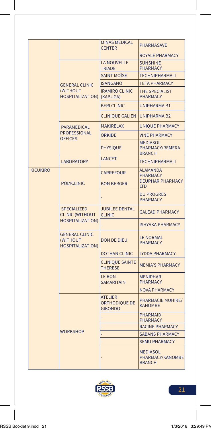|                 |                                                                                   | <b>MINAS MEDICAL</b>                              |                                               |
|-----------------|-----------------------------------------------------------------------------------|---------------------------------------------------|-----------------------------------------------|
|                 |                                                                                   | <b>CENTER</b>                                     | <b>PHARMASAVE</b>                             |
|                 |                                                                                   |                                                   | <b>ROYALE PHARMACY</b>                        |
|                 |                                                                                   | <b>LA NOUVELLE</b><br><b>TRIADE</b>               | <b>SUNSHINE</b><br><b>PHARMACY</b>            |
|                 |                                                                                   | <b>SAINT MOÏSE</b>                                | <b>TECHNIPHARMA II</b>                        |
|                 | <b>GENERAL CLINIC</b>                                                             | <b>ISANGANO</b>                                   | <b>TETA PHARMACY</b>                          |
|                 | <b><i>(WITHOUT</i></b><br><b>HOSPITALIZATION)</b>                                 | <b>IRAMIRO CLINIC</b><br>(KABUGA)                 | THE SPECIALIST<br><b>PHARMACY</b>             |
|                 |                                                                                   | <b>BERI CLINIC</b>                                | <b>UNIPHARMA B1</b>                           |
|                 |                                                                                   | <b>CLINIQUE GALIEN</b>                            | <b>UNIPHARMA B2</b>                           |
|                 | <b>PARAMEDICAL</b>                                                                | <b>MAKIRELAX</b>                                  | UNIQUE PHARMACY                               |
|                 | <b>PROFESSIONAL</b>                                                               | <b>ORKIDE</b>                                     | <b>VINE PHARMACY</b>                          |
|                 | <b>OFFICES</b>                                                                    | <b>PHYSIQUE</b>                                   | <b>MEDIASOL</b><br>PHARMACY/REMERA<br>BRANCH  |
|                 | <b>LABORATORY</b>                                                                 | <b>LANCET</b>                                     | TECHNIPHARMA II                               |
| <b>KICUKIRO</b> |                                                                                   | <b>CARREFOUR</b>                                  | <b>ALAMANDA</b><br>PHARMACY                   |
|                 | <b>POLYCLINIC</b>                                                                 | <b>BON BERGER</b>                                 | <b>DEUPHAR PHARMACY</b><br>LTD.               |
|                 |                                                                                   |                                                   | <b>DU PROGRES</b><br><b>PHARMACY</b>          |
|                 | <b>SPECIALIZED</b><br><b>CLINIC (WITHOUT</b>                                      | <b>JUBILEE DENTAL</b><br><b>CLINIC</b>            | <b>GALEAD PHARMACY</b>                        |
|                 | <b>HOSPITALIZATION)</b>                                                           |                                                   | <b>ISHYAKA PHARMACY</b>                       |
|                 | <b>GENERAL CLINIC</b><br><b><i><u>I</u>WITHOUT</i></b><br><b>HOSPITALIZATION)</b> | <b>DON DE DIEU</b>                                | <b>LE NORMAL</b><br><b>PHARMACY</b>           |
|                 |                                                                                   | <b>DOTHAN CLINIC</b>                              | <b>LYDDA PHARMACY</b>                         |
|                 |                                                                                   | <b>CLINIQUE SAINTE</b><br><b>THERESE</b>          | <b>MEMIA'S PHARMACY</b>                       |
|                 |                                                                                   | LE BON<br><b>SAMARITAIN</b>                       | MENIPHAR<br><b>PHARMACY</b>                   |
|                 |                                                                                   |                                                   | <b>NOVA PHARMACY</b>                          |
|                 |                                                                                   | <b>ATELIER</b><br>ORTHODIQUE DE<br><b>GIKONDO</b> | PHARMACIE MUHIRE/<br><b>KANOMBE</b>           |
|                 |                                                                                   |                                                   | <b>PHARMAID</b><br><b>PHARMACY</b>            |
|                 |                                                                                   |                                                   | <b>RACINE PHARMACY</b>                        |
|                 | <b>WORKSHOP</b>                                                                   |                                                   | <b>SABANS PHARMACY</b>                        |
|                 |                                                                                   |                                                   | <b>SEMU PHARMACY</b>                          |
|                 |                                                                                   |                                                   | MEDIASOL<br>PHARMACY/KANOMBE<br><b>BRANCH</b> |



J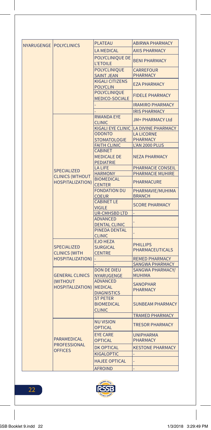| NYARUGENGE  POLYCLINICS |                                                                      | <b>PLATEAU</b>                            | <b>ABIRWA PHARMACY</b>               |
|-------------------------|----------------------------------------------------------------------|-------------------------------------------|--------------------------------------|
|                         |                                                                      | <b>LA MEDICAL</b>                         | <b>AXIS PHARMACY</b>                 |
|                         |                                                                      | POLYCLINIQUE DE                           | <b>BENI PHARMACY</b>                 |
|                         |                                                                      | <b>L'ETOILE</b><br><b>POLYCLINIQUE</b>    | <b>CARREFOUR</b>                     |
|                         |                                                                      | <b>SAINT JEAN</b>                         | <b>PHARMACY</b>                      |
|                         |                                                                      | <b>KIGALI CITIZENS</b>                    | <b>EZA PHARMACY</b>                  |
|                         |                                                                      | <b>POLYCLIN</b>                           |                                      |
|                         |                                                                      | <b>POLYCLINIQUE</b><br>MEDICO-SOCIALE     | <b>FIDELE PHARMACY</b>               |
|                         |                                                                      |                                           | <b>IRAMIRO PHARMACY</b>              |
|                         |                                                                      |                                           | <b>IRIS PHARMACY</b>                 |
|                         |                                                                      | <b>RWANDA EYE</b><br><b>CLINIC</b>        | <b>JM+ PHARMACY Ltd</b>              |
|                         |                                                                      | KIGALI EYE CLINIC                         | <b>LA DIVINE PHARMACY</b>            |
|                         |                                                                      | <b>ODONTO</b><br><b>STOMATOLOGIE</b>      | <b>LA LICORNE</b><br><b>PHARMACY</b> |
|                         |                                                                      | <b>FAITH CLINIC</b>                       | <b>L'AN 2000 PLUS</b>                |
|                         |                                                                      | <b>CABINET</b><br><b>MEDICALE DE</b>      | <b>NEZA PHARMACY</b>                 |
|                         |                                                                      | <b>PEDIATRIE</b>                          |                                      |
|                         | <b>SPECIALIZED</b>                                                   | LA LIFE                                   | <b>PHARMACIE CONSEIL</b>             |
|                         | <b>CLINICS (WTHOUT</b>                                               | <b>HARMONY</b>                            | PHARMACIE MUHIRE                     |
|                         | <b>HOSPITALIZATION)</b>                                              | <b>BIOMEDICAL</b>                         | <b>PHARMACURE</b>                    |
|                         |                                                                      | <b>CENTER</b><br><b>FONDATION DU</b>      | PHARMAVIE/MUHIMA                     |
|                         |                                                                      | <b>COEUR</b>                              | <b>BRANCH</b>                        |
|                         |                                                                      | <b>CABINET LE</b>                         | <b>SCORE PHARMACY</b>                |
|                         |                                                                      | <b>VIGILE</b>                             |                                      |
|                         |                                                                      | <b>UR-CMHSBD LTD</b>                      | ÷,                                   |
|                         |                                                                      | <b>ADVANCED</b><br><b>DENTAL CLINIC</b>   |                                      |
|                         |                                                                      | PINEDA DENTAL                             |                                      |
|                         |                                                                      | <b>CLINIC</b>                             |                                      |
|                         |                                                                      | <b>EJO HEZA</b>                           | <b>PHILLIPS</b>                      |
|                         | <b>SPECIALIZED</b>                                                   | <b>SURGICAL</b>                           | <b>PHARMACEUTICALS</b>               |
|                         | <b>CLINICS (WITH</b><br><b>HOSPITALIZATION)</b>                      | <b>CENTRE</b><br>$\overline{\phantom{a}}$ | <b>REMED PHARMACY</b>                |
|                         |                                                                      |                                           | <b>SANGWA PHARMACY</b>               |
|                         | <b>GENERAL CLINICS</b><br><b>(WITHOUT</b><br><b>HOSPITALIZATION)</b> | <b>DON DE DIEU</b>                        | <b>SANGWA PHARMACY/</b>              |
|                         |                                                                      | <b>NYARUGENGE</b>                         | <b>MUHIMA</b>                        |
|                         |                                                                      | <b>ADVANCED</b>                           | <b>SANOPHAR</b>                      |
|                         |                                                                      | <b>MEDICAL</b><br><b>DIAGNISTICS</b>      | <b>PHARMACY</b>                      |
|                         |                                                                      | <b>ST PETER</b>                           |                                      |
|                         |                                                                      | <b>BIOMEDICAL</b><br><b>CLINIC</b>        | <b>SUNBEAM PHARMACY</b>              |
|                         |                                                                      |                                           | <b>TRAMED PHARMACY</b>               |
|                         |                                                                      | <b>NU VISION</b><br><b>OPTICAL</b>        | <b>TRESOR PHARMACY</b>               |
|                         |                                                                      | <b>EYE CARE</b>                           | <b>UNIPHARMA</b>                     |
|                         | <b>PARAMEDICAL</b>                                                   | <b>OPTICAL</b>                            | <b>PHARMACY</b>                      |
|                         | <b>PROFESSIONAL</b>                                                  | <b>DK OPTICAL</b>                         | <b>KESTONE PHARMACY</b>              |
|                         | <b>OFFICES</b>                                                       | <b>KIGALOPTIC</b>                         |                                      |
|                         |                                                                      | <b>HAJEE OPTICAL</b>                      |                                      |
|                         |                                                                      | <b>AFROIND</b>                            |                                      |
|                         |                                                                      |                                           |                                      |
|                         |                                                                      |                                           |                                      |
| 22                      |                                                                      |                                           |                                      |
|                         |                                                                      | <b>CURTY BOAS</b>                         |                                      |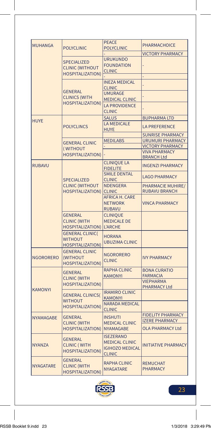| <b>HUYE</b>      | <b>SPECIALIZED</b><br><b>CLINIC (WITHOUT</b><br><b>HOSPITALIZATION)</b><br>GENERAL<br><b>CLINICS (WITH</b><br><b>HOSPITALIZATION)</b><br><b>POLYCLINCS</b><br><b>GENERAL CLINIC</b><br><b>WITHOUT</b><br><b>HOSPITALIZATION)</b> | <b>URUKUNDO</b><br><b>FOUNDATION</b><br><b>CLINIC</b><br><b>INEZA MEDICAL</b><br><b>CLINIC</b><br><b>UMURAGE</b><br><b>MEDICAL CLINIC</b><br><b>LA PROVIDENCE</b><br><b>CLINIC</b><br><b>SALUS</b><br><b>LA MEDICALE</b><br><b>HUYE</b><br><b>MEDILABS</b> | <b>VICTORY PHARMACY</b><br><b>BUPHARMA LTD</b><br><b>LA PREFERENCE</b><br><b>SUNRISE PHARMACY</b><br><b>URUMURI PHARMACY</b> |
|------------------|----------------------------------------------------------------------------------------------------------------------------------------------------------------------------------------------------------------------------------|------------------------------------------------------------------------------------------------------------------------------------------------------------------------------------------------------------------------------------------------------------|------------------------------------------------------------------------------------------------------------------------------|
|                  |                                                                                                                                                                                                                                  |                                                                                                                                                                                                                                                            |                                                                                                                              |
|                  |                                                                                                                                                                                                                                  |                                                                                                                                                                                                                                                            |                                                                                                                              |
|                  |                                                                                                                                                                                                                                  |                                                                                                                                                                                                                                                            |                                                                                                                              |
|                  |                                                                                                                                                                                                                                  |                                                                                                                                                                                                                                                            |                                                                                                                              |
|                  |                                                                                                                                                                                                                                  |                                                                                                                                                                                                                                                            |                                                                                                                              |
|                  |                                                                                                                                                                                                                                  |                                                                                                                                                                                                                                                            |                                                                                                                              |
|                  |                                                                                                                                                                                                                                  |                                                                                                                                                                                                                                                            |                                                                                                                              |
|                  |                                                                                                                                                                                                                                  |                                                                                                                                                                                                                                                            |                                                                                                                              |
|                  |                                                                                                                                                                                                                                  |                                                                                                                                                                                                                                                            |                                                                                                                              |
|                  |                                                                                                                                                                                                                                  |                                                                                                                                                                                                                                                            |                                                                                                                              |
|                  |                                                                                                                                                                                                                                  |                                                                                                                                                                                                                                                            |                                                                                                                              |
|                  |                                                                                                                                                                                                                                  |                                                                                                                                                                                                                                                            |                                                                                                                              |
|                  |                                                                                                                                                                                                                                  |                                                                                                                                                                                                                                                            |                                                                                                                              |
|                  |                                                                                                                                                                                                                                  |                                                                                                                                                                                                                                                            |                                                                                                                              |
|                  |                                                                                                                                                                                                                                  |                                                                                                                                                                                                                                                            |                                                                                                                              |
|                  |                                                                                                                                                                                                                                  |                                                                                                                                                                                                                                                            | <b>VICTORY PHARMACY</b>                                                                                                      |
|                  |                                                                                                                                                                                                                                  |                                                                                                                                                                                                                                                            | <b>VIVA PHARMACY</b>                                                                                                         |
|                  |                                                                                                                                                                                                                                  |                                                                                                                                                                                                                                                            | <b>BRANCH Ltd</b>                                                                                                            |
| <b>RUBAVU</b>    |                                                                                                                                                                                                                                  | <b>CLINIQUE LA</b>                                                                                                                                                                                                                                         | <b>INGENZI PHARMACY</b>                                                                                                      |
|                  |                                                                                                                                                                                                                                  | <b>FIDELITE</b>                                                                                                                                                                                                                                            |                                                                                                                              |
|                  |                                                                                                                                                                                                                                  | <b>SMILE DENTAL</b>                                                                                                                                                                                                                                        | <b>LAGO PHARMACY</b>                                                                                                         |
|                  | <b>SPECIALIZED</b>                                                                                                                                                                                                               | <b>CLINIC</b>                                                                                                                                                                                                                                              |                                                                                                                              |
|                  | <b>CLINIC (WITHOUT</b>                                                                                                                                                                                                           | <b>NDENGERA</b>                                                                                                                                                                                                                                            | PHARMACIE MUHIRE/                                                                                                            |
|                  | <b>HOSPITALIZATION)</b>                                                                                                                                                                                                          | <b>CLINIC</b>                                                                                                                                                                                                                                              | RUBAVU BRANCH                                                                                                                |
|                  |                                                                                                                                                                                                                                  | <b>AFRICA H. CARE</b>                                                                                                                                                                                                                                      |                                                                                                                              |
|                  |                                                                                                                                                                                                                                  | <b>NETWORK</b>                                                                                                                                                                                                                                             | <b>VINCA PHARMACY</b>                                                                                                        |
|                  |                                                                                                                                                                                                                                  | RUBAVU                                                                                                                                                                                                                                                     |                                                                                                                              |
|                  | <b>GENERAL</b>                                                                                                                                                                                                                   | <b>CLINIQUE</b>                                                                                                                                                                                                                                            |                                                                                                                              |
|                  | <b>CLINIC (WITH</b>                                                                                                                                                                                                              | <b>MEDICALE DE</b>                                                                                                                                                                                                                                         |                                                                                                                              |
|                  | <b>HOSPITALIZATION)</b>                                                                                                                                                                                                          | <b>L'ARCHE</b>                                                                                                                                                                                                                                             |                                                                                                                              |
|                  | <b>GENERAL CLINIC(</b>                                                                                                                                                                                                           | <b>HORANA</b>                                                                                                                                                                                                                                              |                                                                                                                              |
|                  | <b>WITHOUT</b>                                                                                                                                                                                                                   | <b>UBUZIMA CLINIC</b>                                                                                                                                                                                                                                      |                                                                                                                              |
|                  | <b>HOSPITALIZATION)</b>                                                                                                                                                                                                          |                                                                                                                                                                                                                                                            |                                                                                                                              |
|                  | <b>GENERAL CLINIC</b>                                                                                                                                                                                                            | <b>NGORORERO</b>                                                                                                                                                                                                                                           |                                                                                                                              |
| <b>NGORORERO</b> | <b>WITHOUT</b>                                                                                                                                                                                                                   | <b>CLINIC</b>                                                                                                                                                                                                                                              | <b>IVY PHARMACY</b>                                                                                                          |
|                  | <b>HOSPITALIZATION)</b>                                                                                                                                                                                                          |                                                                                                                                                                                                                                                            |                                                                                                                              |
|                  | <b>GENERAL</b>                                                                                                                                                                                                                   | <b>RAPHA CLINIC</b>                                                                                                                                                                                                                                        | <b>BONA CURATIO</b>                                                                                                          |
|                  | <b>CLINIC (WITH</b>                                                                                                                                                                                                              | <b>KAMONYI</b>                                                                                                                                                                                                                                             | <b>FARMACIA</b>                                                                                                              |
|                  | <b>HOSPITALIZATION)</b>                                                                                                                                                                                                          |                                                                                                                                                                                                                                                            | <b>VIEPHARMA</b>                                                                                                             |
| <b>KAMONYI</b>   |                                                                                                                                                                                                                                  | <b>IRAMIRO CLINIC</b>                                                                                                                                                                                                                                      | <b>PHARMACY Ltd</b>                                                                                                          |
|                  | <b>GENERAL CLINICS(</b>                                                                                                                                                                                                          | <b>KAMONYI</b>                                                                                                                                                                                                                                             |                                                                                                                              |
|                  | <b>WITHOUT</b>                                                                                                                                                                                                                   | <b>NARADA MEDICAL</b>                                                                                                                                                                                                                                      |                                                                                                                              |
|                  | <b>HOSPITALIZATION)</b>                                                                                                                                                                                                          | <b>CLINIC</b>                                                                                                                                                                                                                                              |                                                                                                                              |
|                  | <b>GENERAL</b>                                                                                                                                                                                                                   | <b>INSHUTI</b>                                                                                                                                                                                                                                             | <b>FIDELITY PHARMACY</b>                                                                                                     |
| <b>NYAMAGABE</b> |                                                                                                                                                                                                                                  | <b>MEDICAL CLINIC</b>                                                                                                                                                                                                                                      | <b>IZERE PHARMACY</b>                                                                                                        |
|                  | <b>CLINIC (WITH</b><br><b>HOSPITALIZATION)</b>                                                                                                                                                                                   | <b>NYAMAGABE</b>                                                                                                                                                                                                                                           | <b>OLA PHARMACY Ltd</b>                                                                                                      |
|                  |                                                                                                                                                                                                                                  |                                                                                                                                                                                                                                                            |                                                                                                                              |
|                  | <b>GENERAL</b>                                                                                                                                                                                                                   | <b>ISEZERANO</b>                                                                                                                                                                                                                                           |                                                                                                                              |
| <b>NYANZA</b>    | <b>CLINIC (WITH</b>                                                                                                                                                                                                              | <b>MEDICAL CLINIC</b>                                                                                                                                                                                                                                      | <b>INITIATIVE PHARMACY</b>                                                                                                   |
|                  | HOSPITALIZATION)                                                                                                                                                                                                                 | <b>IGIHOZO MEDICAL</b>                                                                                                                                                                                                                                     |                                                                                                                              |
|                  |                                                                                                                                                                                                                                  | <b>CLINIC</b>                                                                                                                                                                                                                                              |                                                                                                                              |
|                  | <b>GENERAL</b>                                                                                                                                                                                                                   | RAPHA CLINIC                                                                                                                                                                                                                                               | <b>REMUCHAT</b>                                                                                                              |
| <b>NYAGATARE</b> | <b>CLINIC (WITH</b>                                                                                                                                                                                                              | <b>NYAGATARE</b>                                                                                                                                                                                                                                           | <b>PHARMACY</b>                                                                                                              |
|                  | <b>HOSPITALIZATION)</b>                                                                                                                                                                                                          |                                                                                                                                                                                                                                                            |                                                                                                                              |

 $\overline{\phantom{a}}$ 

I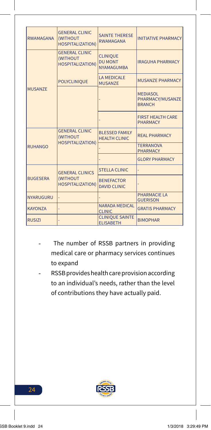| <b>RWAMAGANA</b> | <b>GENERAL CLINIC</b><br><b>(WITHOUT)</b><br><b>HOSPITALIZATION)</b> | <b>SAINTE THERESE</b><br><b>RWAMAGANA</b>              | <b>INITIATIVE PHARMACY</b>                           |
|------------------|----------------------------------------------------------------------|--------------------------------------------------------|------------------------------------------------------|
|                  | <b>GENERAL CLINIC</b><br><b>(WITHOUT</b><br><b>HOSPITALIZATION)</b>  | <b>CLINIQUE</b><br><b>DU MONT</b><br><b>NYAMAGUMBA</b> | <b>IRAGUHA PHARMACY</b>                              |
| <b>MUSANZE</b>   | <b>POLYCLINIQUE</b>                                                  | <b>LA MEDICALE</b><br><b>MUSANZE</b>                   | <b>MUSANZE PHARMACY</b>                              |
|                  |                                                                      |                                                        | <b>MEDIASOL</b><br>PHARMACY/MUSANZE<br><b>BRANCH</b> |
|                  |                                                                      |                                                        | <b>FIRST HEALTH CARE</b><br><b>PHARMACY</b>          |
|                  | <b>GENERAL CLINIC</b><br><b>(WITHOUT</b>                             | <b>BLESSED FAMILY</b><br><b>HEALTH CLINIC</b>          | <b>REAL PHARMACY</b>                                 |
| <b>RUHANGO</b>   | <b>HOSPITALIZATION)</b>                                              |                                                        | <b>TERRANOVA</b><br><b>PHARMACY</b>                  |
|                  |                                                                      |                                                        | <b>GLORY PHARMACY</b>                                |
|                  | <b>GENERAL CLINICS</b>                                               | <b>STELLA CLINIC</b>                                   |                                                      |
| <b>BUGESERA</b>  | <b>(WITHOUT</b><br><b>HOSPITALIZATION)</b>                           | <b>BENEFACTOR</b><br><b>DAVID CLINIC</b>               |                                                      |
| <b>NYARUGURU</b> |                                                                      |                                                        | <b>PHARMACIE LA</b><br><b>GUERISON</b>               |
| <b>KAYONZA</b>   |                                                                      | <b>NARADA MEDICAL</b><br><b>CLINIC</b>                 | <b>GRATIS PHARMACY</b>                               |
| <b>RUSIZI</b>    |                                                                      | <b>CLINIQUE SAINTE</b><br><b>ELISABETH</b>             | <b>BIMOPHAR</b>                                      |

- The number of RSSB partners in providing medical care or pharmacy services continues to expand
- RSSB provides health care provision according to an individual's needs, rather than the level of contributions they have actually paid.



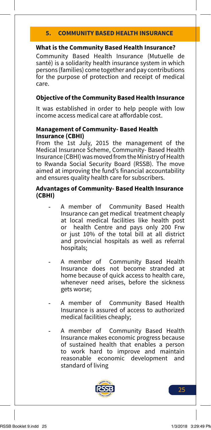# **5. COMMUNITY BASED HEALTH INSURANCE**

### **What is the Community Based Health Insurance?**

Community Based Health Insurance (Mutuelle de santé) is a solidarity health insurance system in which persons (families) come together and pay contributions for the purpose of protection and receipt of medical care.

### **Objective of the Community Based Health Insurance**

It was established in order to help people with low income access medical care at affordable cost.

### **Management of Community- Based Health Insurance (CBHI)**

From the 1st July, 2015 the management of the Medical Insurance Scheme, Community- Based Health Insurance (CBHI) was moved from the Ministry of Health to Rwanda Social Security Board (RSSB). The move aimed at improving the fund's financial accountability and ensures quality health care for subscribers.

### **Advantages of Community- Based Health Insurance (CBHI)**

- A member of Community Based Health Insurance can get medical treatment cheaply at local medical facilities like health post or health Centre and pays only 200 Frw or just 10% of the total bill at all district and provincial hospitals as well as referral hospitals;
- A member of Community Based Health Insurance does not become stranded at home because of quick access to health care, whenever need arises, before the sickness gets worse;
- A member of Community Based Health Insurance is assured of access to authorized medical facilities cheaply;
- A member of Community Based Health Insurance makes economic progress because of sustained health that enables a person to work hard to improve and maintain reasonable economic development and standard of living

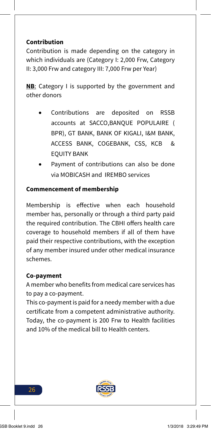# **Contribution**

Contribution is made depending on the category in which individuals are (Category I: 2,000 Frw, Category II: 3,000 Frw and category III: 7,000 Frw per Year)

**NB**: Category I is supported by the government and other donors

- Contributions are deposited on RSSB accounts at SACCO,BANQUE POPULAIRE ( BPR), GT BANK, BANK OF KIGALI, I&M BANK, ACCESS BANK, COGEBANK, CSS, KCB & EQUITY BANK
- Payment of contributions can also be done via MOBICASH and IREMBO services

# **Commencement of membership**

Membership is effective when each household member has, personally or through a third party paid the required contribution. The CBHI offers health care coverage to household members if all of them have paid their respective contributions, with the exception of any member insured under other medical insurance schemes.

# **Co-payment**

A member who benefits from medical care services has to pay a co-payment.

This co-payment is paid for a needy member with a due certificate from a competent administrative authority. Today, the co-payment is 200 Frw to Health facilities and 10% of the medical bill to Health centers.



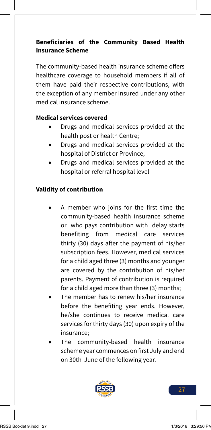# **Beneficiaries of the Community Based Health Insurance Scheme**

The community-based health insurance scheme offers healthcare coverage to household members if all of them have paid their respective contributions, with the exception of any member insured under any other medical insurance scheme.

# **Medical services covered**

- • Drugs and medical services provided at the health post or health Centre;
- Drugs and medical services provided at the hospital of District or Province;
- Drugs and medical services provided at the hospital or referral hospital level

# **Validity of contribution**

- A member who joins for the first time the community-based health insurance scheme or who pays contribution with delay starts benefiting from medical care services thirty (30) days after the payment of his/her subscription fees. However, medical services for a child aged three (3) months and younger are covered by the contribution of his/her parents. Payment of contribution is required for a child aged more than three (3) months;
- The member has to renew his/her insurance before the benefiting year ends. However, he/she continues to receive medical care services for thirty days (30) upon expiry of the insurance;
- The community-based health insurance scheme year commences on first July and end on 30th June of the following year.

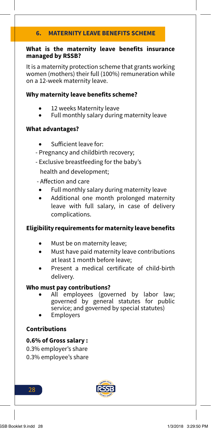# **6. MATERNITY LEAVE BENEFITS SCHEME**

### **What is the maternity leave benefits insurance managed by RSSB?**

It is a maternity protection scheme that grants working women (mothers) their full (100%) remuneration while on a 12-week maternity leave.

### **Why maternity leave benefits scheme?**

- 12 weeks Maternity leave
- Full monthly salary during maternity leave

### **What advantages?**

- Sufficient leave for:
- Pregnancy and childbirth recovery;
- Exclusive breastfeeding for the baby's health and development;
- Affection and care
	- Full monthly salary during maternity leave
	- Additional one month prolonged maternity leave with full salary, in case of delivery complications.

### **Eligibility requirements for maternity leave benefits**

- Must be on maternity leave;
- Must have paid maternity leave contributions at least 1 month before leave;
- Present a medical certificate of child-birth delivery.

### **Who must pay contributions?**

- All employees (governed by labor law; governed by general statutes for public service; and governed by special statutes)
- **Employers**

### **Contributions**

### **0.6% of Gross salary :**

- 0.3% employer's share
- 0.3% employee's share



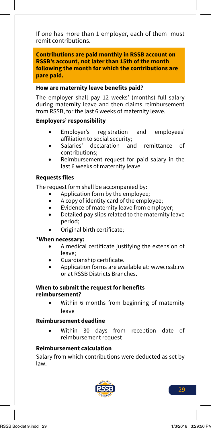If one has more than 1 employer, each of them must remit contributions.

**Contributions are paid monthly in RSSB account on RSSB's account, not later than 15th of the month following the month for which the contributions are pare paid.**

#### **How are maternity leave benefits paid?**

The employer shall pay 12 weeks' (months) full salary during maternity leave and then claims reimbursement from RSSB, for the last 6 weeks of maternity leave.

### **Employers' responsibility**

- Employer's registration and employees' affiliation to social security;
- Salaries' declaration and remittance of contributions;
- Reimbursement request for paid salary in the last 6 weeks of maternity leave.

### **Requests files**

The request form shall be accompanied by:

- Application form by the employee;
- A copy of identity card of the employee;
- Evidence of maternity leave from employer;
- Detailed pay slips related to the maternity leave period;
- Original birth certificate;

### **\*When necessary:**

- A medical certificate justifying the extension of leave;
- Guardianship certificate.
- • Application forms are available at: www.rssb.rw or at RSSB Districts Branches.

### **When to submit the request for benefits reimbursement?**

Within 6 months from beginning of maternity leave

### **Reimbursement deadline**

Within 30 days from reception date of reimbursement request

### **Reimbursement calculation**

Salary from which contributions were deducted as set by law.

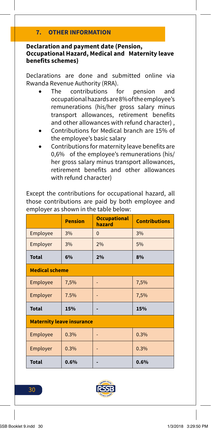# **7. OTHER INFORMATION**

### **Declaration and payment date (Pension, Occupational Hazard, Medical and Maternity leave benefits schemes)**

Declarations are done and submitted online via Rwanda Revenue Authority (RRA).

- The contributions for pension and occupational hazards are 8% of the employee's remunerations (his/her gross salary minus transport allowances, retirement benefits and other allowances with refund character) ,
- Contributions for Medical branch are 15% of the employee's basic salary
- Contributions for maternity leave benefits are 0,6% of the employee's remunerations (his/ her gross salary minus transport allowances, retirement benefits and other allowances with refund character)

Except the contributions for occupational hazard, all those contributions are paid by both employee and employer as shown in the table below:

|                                  | <b>Pension</b>        | <b>Occupational</b><br>hazard | <b>Contributions</b> |  |  |
|----------------------------------|-----------------------|-------------------------------|----------------------|--|--|
| Employee                         | 3%                    | $\mathbf{0}$                  | 3%                   |  |  |
| Employer                         | 3%                    | 2%                            | 5%                   |  |  |
| <b>Total</b>                     | 6%                    | 2%                            | 8%                   |  |  |
|                                  | <b>Medical scheme</b> |                               |                      |  |  |
| Employee                         | 7,5%                  |                               | 7,5%                 |  |  |
| Employer                         | 7.5%                  |                               | 7,5%                 |  |  |
| <b>Total</b>                     | 15%                   |                               | 15%                  |  |  |
| <b>Maternity leave insurance</b> |                       |                               |                      |  |  |
| Employee                         | 0.3%                  |                               | 0.3%                 |  |  |
| Employer                         | 0.3%                  |                               | 0.3%                 |  |  |
| <b>Total</b>                     | 0.6%                  |                               | 0.6%                 |  |  |



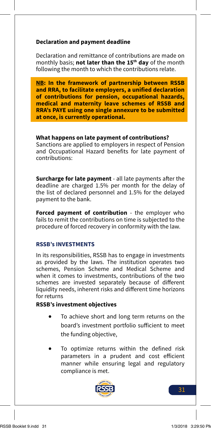### **Declaration and payment deadline**

Declaration and remittance of contributions are made on monthly basis; **not later than the 15<sup>th</sup> day** of the month following the month to which the contributions relate.

**NB: In the framework of partnership between RSSB and RRA, to facilitate employers, a unified declaration of contributions for pension, occupational hazards, medical and maternity leave schemes of RSSB and RRA's PAYE using one single annexure to be submitted at once, is currently operational.** 

#### **What happens on late payment of contributions?**

Sanctions are applied to employers in respect of Pension and Occupational Hazard benefits for late payment of contributions:

**Surcharge for late payment** - all late payments after the deadline are charged 1.5% per month for the delay of the list of declared personnel and 1.5% for the delayed payment to the bank.

**Forced payment of contribution** - the employer who fails to remit the contributions on time is subjected to the procedure of forced recovery in conformity with the law.

### **RSSB's INVESTMENTS**

In its responsibilities, RSSB has to engage in investments as provided by the laws. The institution operates two schemes, Pension Scheme and Medical Scheme and when it comes to investments, contributions of the two schemes are invested separately because of different liquidity needs, inherent risks and different time horizons for returns

### **RSSB's investment objectives**

- To achieve short and long term returns on the board's investment portfolio sufficient to meet the funding objective,
- To optimize returns within the defined risk parameters in a prudent and cost efficient manner while ensuring legal and regulatory compliance is met.



RSSB Booklet 9.indd 31 1/3/2018 3:29:50 PM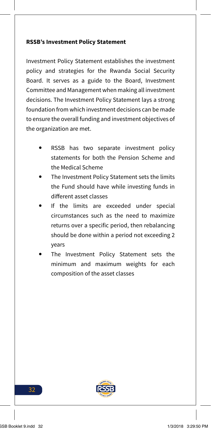### **RSSB's Investment Policy Statement**

Investment Policy Statement establishes the investment policy and strategies for the Rwanda Social Security Board. It serves as a guide to the Board, Investment Committee and Management when making all investment decisions. The Investment Policy Statement lays a strong foundation from which investment decisions can be made to ensure the overall funding and investment objectives of the organization are met.

- RSSB has two separate investment policy statements for both the Pension Scheme and the Medical Scheme
- The Investment Policy Statement sets the limits the Fund should have while investing funds in different asset classes
- If the limits are exceeded under special circumstances such as the need to maximize returns over a specific period, then rebalancing should be done within a period not exceeding 2 years
- The Investment Policy Statement sets the minimum and maximum weights for each composition of the asset classes



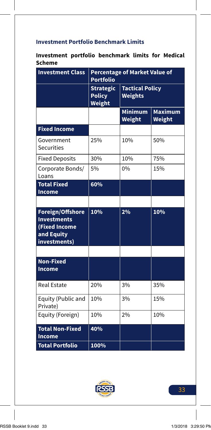# **Investment Portfolio Benchmark Limits**

**Investment portfolio benchmark limits for Medical Scheme**

| <b>Investment Class</b>                                                                      | <b>Portfolio</b>                            | <b>Percentage of Market Value of</b>     |                          |
|----------------------------------------------------------------------------------------------|---------------------------------------------|------------------------------------------|--------------------------|
|                                                                                              | <b>Strategic</b><br><b>Policy</b><br>Weight | <b>Tactical Policy</b><br><b>Weights</b> |                          |
|                                                                                              |                                             | <b>Minimum</b><br>Weight                 | <b>Maximum</b><br>Weight |
| <b>Fixed Income</b>                                                                          |                                             |                                          |                          |
| Government<br>Securities                                                                     | 25%                                         | 10%                                      | 50%                      |
| <b>Fixed Deposits</b>                                                                        | 30%                                         | 10%                                      | 75%                      |
| Corporate Bonds/<br>Loans                                                                    | 5%                                          | 0%                                       | 15%                      |
| <b>Total Fixed</b><br><b>Income</b>                                                          | 60%                                         |                                          |                          |
|                                                                                              |                                             |                                          |                          |
| Foreign/Offshore<br><b>Investments</b><br><b>(Fixed Income</b><br>and Equity<br>investments) | 10%                                         | 2%                                       | 10%                      |
|                                                                                              |                                             |                                          |                          |
| <b>Non-Fixed</b><br>Income                                                                   |                                             |                                          |                          |
| <b>Real Estate</b>                                                                           | 20%                                         | 3%                                       | 35%                      |
| Equity (Public and<br>Private)                                                               | 10%                                         | 3%                                       | 15%                      |
| Equity (Foreign)                                                                             | 10%                                         | 2%                                       | 10%                      |
| <b>Total Non-Fixed</b><br><b>Income</b>                                                      | 40%                                         |                                          |                          |
| <b>Total Portfolio</b>                                                                       | 100%                                        |                                          |                          |

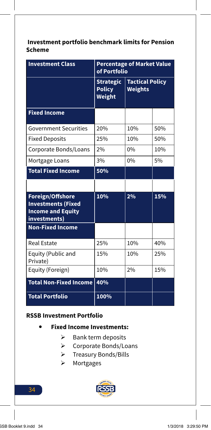# **Investment portfolio benchmark limits for Pension Scheme**

| <b>Investment Class</b>                                                                   | <b>Percentage of Market Value</b><br>of Portfolio |                                          |     |
|-------------------------------------------------------------------------------------------|---------------------------------------------------|------------------------------------------|-----|
|                                                                                           | <b>Strategic</b><br><b>Policy</b><br>Weight       | <b>Tactical Policy</b><br><b>Weights</b> |     |
| <b>Fixed Income</b>                                                                       |                                                   |                                          |     |
| <b>Government Securities</b>                                                              | 20%                                               | 10%                                      | 50% |
| <b>Fixed Deposits</b>                                                                     | 25%                                               | 10%                                      | 50% |
| Corporate Bonds/Loans                                                                     | 2%                                                | 0%                                       | 10% |
| Mortgage Loans                                                                            | 3%                                                | 0%                                       | 5%  |
| <b>Total Fixed Income</b>                                                                 | 50%                                               |                                          |     |
|                                                                                           |                                                   |                                          |     |
| Foreign/Offshore<br><b>Investments (Fixed</b><br><b>Income and Equity</b><br>investments) | 10%                                               | 2%                                       | 15% |
| <b>Non-Fixed Income</b>                                                                   |                                                   |                                          |     |
| <b>Real Estate</b>                                                                        | 25%                                               | 10%                                      | 40% |
| Equity (Public and<br>Private)                                                            | 15%                                               | 10%                                      | 25% |
| Equity (Foreign)                                                                          | 10%                                               | 2%                                       | 15% |
| <b>Total Non-Fixed Income</b>                                                             | 40%                                               |                                          |     |
| <b>Total Portfolio</b>                                                                    | 100%                                              |                                          |     |
| <b>RSSB Investment Portfolio</b>                                                          |                                                   |                                          |     |

### **Fixed Income Investments:**

- $\triangleright$  Bank term deposits
- Corporate Bonds/Loans
- $\triangleright$  Treasury Bonds/Bills
- > Mortgages

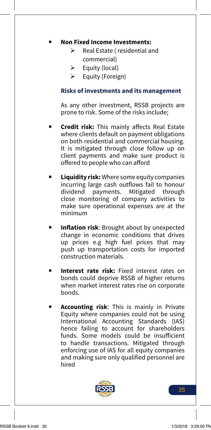### **Non Fixed Income Investments:**

- $\triangleright$  Real Estate ( residential and commercial)
- $\triangleright$  Equity (local)
- $\triangleright$  Equity (Foreign)

### **Risks of investments and its management**

As any other investment, RSSB projects are prone to risk. Some of the risks include;

- **Credit risk:** This mainly affects Real Estate where clients default on payment obligations on both residential and commercial housing. It is mitigated through close follow up on client payments and make sure product is offered to people who can afford
- **Liquidity risk:** Where some equity companies incurring large cash outflows fail to honour dividend payments. Mitigated through close monitoring of company activities to make sure operational expenses are at the minimum
- **Inflation risk**: Brought about by unexpected change in economic conditions that drives up prices e.g high fuel prices that may push up transportation costs for imported construction materials.
- **Interest rate risk:** Fixed interest rates on bonds could deprive RSSB of higher returns when market interest rates rise on corporate bonds.
- **Accounting risk**: This is mainly in Private Equity where companies could not be using International Accounting Standards (IAS) hence failing to account for shareholders funds. Some models could be insufficient to handle transactions. Mitigated through enforcing use of IAS for all equity companies and making sure only qualified personnel are hired

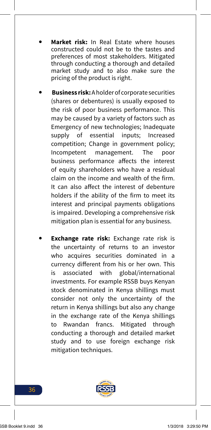- **Market risk:** In Real Estate where houses constructed could not be to the tastes and preferences of most stakeholders. Mitigated through conducting a thorough and detailed market study and to also make sure the pricing of the product is right.
- **Business risk:** A holder of corporate securities (shares or debentures) is usually exposed to the risk of poor business performance. This may be caused by a variety of factors such as Emergency of new technologies; Inadequate supply of essential inputs; Increased competition; Change in government policy; Incompetent management. The poor business performance affects the interest of equity shareholders who have a residual claim on the income and wealth of the firm. It can also affect the interest of debenture holders if the ability of the firm to meet its interest and principal payments obligations is impaired. Developing a comprehensive risk mitigation plan is essential for any business.
- **Exchange rate risk:** Exchange rate risk is the uncertainty of returns to an investor who acquires securities dominated in a currency different from his or her own. This is associated with global/international investments. For example RSSB buys Kenyan stock denominated in Kenya shillings must consider not only the uncertainty of the return in Kenya shillings but also any change in the exchange rate of the Kenya shillings to Rwandan francs. Mitigated through conducting a thorough and detailed market study and to use foreign exchange risk mitigation techniques.

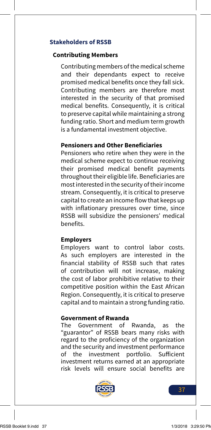# **Stakeholders of RSSB**

### **Contributing Members**

Contributing members of the medical scheme and their dependants expect to receive promised medical benefits once they fall sick. Contributing members are therefore most interested in the security of that promised medical benefits. Consequently, it is critical to preserve capital while maintaining a strong funding ratio. Short and medium term growth is a fundamental investment objective.

### **Pensioners and Other Beneficiaries**

Pensioners who retire when they were in the medical scheme expect to continue receiving their promised medical benefit payments throughout their eligible life. Beneficiaries are most interested in the security of their income stream. Consequently, it is critical to preserve capital to create an income flow that keeps up with inflationary pressures over time, since RSSB will subsidize the pensioners' medical benefits.

### **Employers**

Employers want to control labor costs. As such employers are interested in the financial stability of RSSB such that rates of contribution will not increase, making the cost of labor prohibitive relative to their competitive position within the East African Region. Consequently, it is critical to preserve capital and to maintain a strong funding ratio.

### **Government of Rwanda**

The Government of Rwanda, as the "guarantor" of RSSB bears many risks with regard to the proficiency of the organization and the security and investment performance of the investment portfolio. Sufficient investment returns earned at an appropriate risk levels will ensure social benefits are

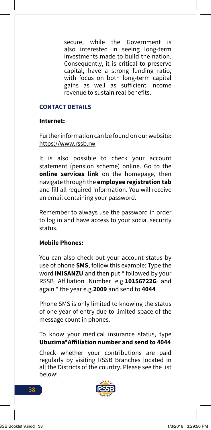secure, while the Government is also interested in seeing long-term investments made to build the nation. Consequently, it is critical to preserve capital, have a strong funding ratio, with focus on both long-term capital gains as well as sufficient income revenue to sustain real benefits.

### **CONTACT DETAILS**

### **Internet:**

Further information can be found on our website: https://www.rssb.rw

It is also possible to check your account statement (pension scheme) online. Go to the **online services link** on the homepage, then navigate through the **employee registration tab** and fill all required information. You will receive an email containing your password.

Remember to always use the password in order to log in and have access to your social security status.

### **Mobile Phones:**

You can also check out your account status by use of phone **SMS**, follow this example: Type the word **IMISANZU** and then put \* followed by your RSSB Affiliation Number e.g.**10156722G** and again \* the year e.g.**2009** and send to **4044** 

Phone SMS is only limited to knowing the status of one year of entry due to limited space of the message count in phones.

To know your medical insurance status, type **Ubuzima\*Affiliation number and send to 4044** 

Check whether your contributions are paid regularly by visiting RSSB Branches located in all the Districts of the country. Please see the list below:

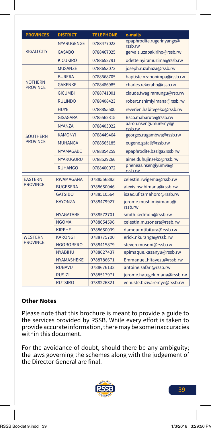| <b>PROVINCES</b>                   | <b>DISTRICT</b>   | <b>TELEPHONE</b> | e-mails                              |
|------------------------------------|-------------------|------------------|--------------------------------------|
|                                    | NYARUGENGE        | 0788477023       | epaphrodite.rugerinyange@<br>rssb.rw |
| <b>KIGALI CITY</b>                 | <b>GASABO</b>     | 0788467025       | gervais.uzabakiriho@rssb.rw          |
|                                    | <b>KICUKIRO</b>   | 0788652791       | odette.nyiramuzima@rssb.rw           |
|                                    | <b>MUSANZE</b>    | 0788653072       | joseph.ruzahaza@rssb.rw              |
|                                    | <b>BURERA</b>     | 0788568705       | baptiste.nzabonimpa@rssb.rw          |
| <b>NOTHERN</b><br><b>PROVINCE</b>  | <b>GAKENKE</b>    | 0788486985       | charles.rekeraho@rssb.rw             |
|                                    | <b>GICUMBI</b>    | 0788741001       | claude.twagiramungu@rsb.rw           |
|                                    | <b>RULINDO</b>    | 0788408423       | robert.nshimiyimana@rssb.rw          |
|                                    | <b>HUYE</b>       | 0788855500       | reverien.habitegeko@rssb.rw          |
|                                    | <b>GISAGARA</b>   | 0785562315       | Bsco.mabarute@rssb.rw                |
| <b>SOUTHERN</b><br><b>PROVINCE</b> | <b>NYANZA</b>     | 0788403022       | aaron.nsengumuremyi@<br>rssb.rw      |
|                                    | <b>KAMONYI</b>    | 0788449464       | georges.rugambwa@rssb.rw             |
|                                    | <b>MUHANGA</b>    | 0788565185       | eugene.gatali@rssb.rw                |
|                                    | <b>NYAMAGABE</b>  | 0788854259       | epaphrodite.baziga2rssb.rw           |
|                                    | <b>NYARUGURU</b>  | 0788529266       | aime.duhujinseko@rssb.rw             |
|                                    | <b>RUHANGO</b>    | 0788400072       | pheneas.nsengiyumva@<br>rssb.rw      |
| <b>EASTERN</b>                     | <b>RWAMAGANA</b>  | 0788556883       | celestin.rwigema@rssb.rw             |
| <b>PROVINCE</b>                    | <b>BUGESERA</b>   | 0788650046       | alexis.nsabimana@rssb.rw             |
|                                    | <b>GATSIBO</b>    | 0788510564       | isaac.ufitamahoro@rssb.rw            |
|                                    | <b>KAYONZA</b>    | 0788479927       | jerome.mushimiyimana@<br>rssb.rw     |
|                                    | <b>NYAGATARE</b>  | 0788572701       | smith.kedmon@rssb.rw                 |
|                                    | <b>NGOMA</b>      | 0788654596       | celestin.musonera@rssb.rw            |
|                                    | <b>KIREHE</b>     | 0788650039       | damour.ntibitura@rssb.rw             |
| <b>WESTERN</b>                     | <b>KARONGI</b>    | 0788775700       | erick.nkuranga@rssb.rw               |
| <b>PROVINCE</b>                    | <b>NGORORERO</b>  | 0788415879       | steven.musoni@rssb.rw                |
|                                    | <b>NYABIHU</b>    | 0788627437       | epimaque.kasanyu@rssb.rw             |
|                                    | <b>NYAMASHEKE</b> | 0788786671       | Emmanuel.hitayezu@rssb.rw            |
|                                    | <b>RUBAVU</b>     | 0788676132       | antoine.safari@rssb.rw               |
|                                    | <b>RUSIZI</b>     | 0788517971       | jerome.hategekimana@rssb.rw          |
|                                    | <b>RUTSIRO</b>    | 0788226321       | venuste.biziyaremye@rssb.rw          |

# **Other Notes**

Please note that this brochure is meant to provide a guide to the services provided by RSSB. While every effort is taken to provide accurate information, there may be some inaccuracies within this document.

For the avoidance of doubt, should there be any ambiguity; the laws governing the schemes along with the judgement of the Director General are final.

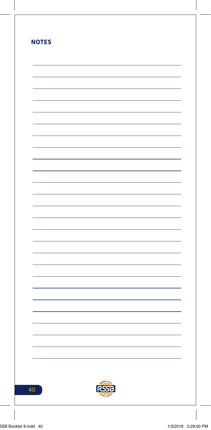| <b>NOTES</b> |                                      |  |
|--------------|--------------------------------------|--|
|              |                                      |  |
|              |                                      |  |
|              |                                      |  |
|              |                                      |  |
|              |                                      |  |
|              |                                      |  |
|              |                                      |  |
|              |                                      |  |
|              |                                      |  |
|              |                                      |  |
|              |                                      |  |
|              |                                      |  |
|              |                                      |  |
| 40           | RWANDA SOC<br><b>RSS</b><br>FECURITY |  |

J

 $\sqrt{ }$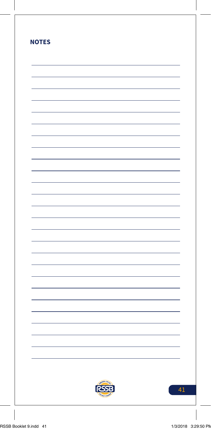| <b>NOTES</b> |                                          |    |
|--------------|------------------------------------------|----|
|              |                                          |    |
|              |                                          |    |
|              |                                          |    |
|              |                                          |    |
|              |                                          |    |
|              |                                          |    |
|              |                                          |    |
|              |                                          |    |
|              |                                          |    |
|              |                                          |    |
|              |                                          | L, |
|              |                                          |    |
|              |                                          |    |
|              |                                          |    |
|              |                                          |    |
|              | SWANDA SOCIA<br>RSS<br>Б<br>FECURITY BOR | 41 |

J